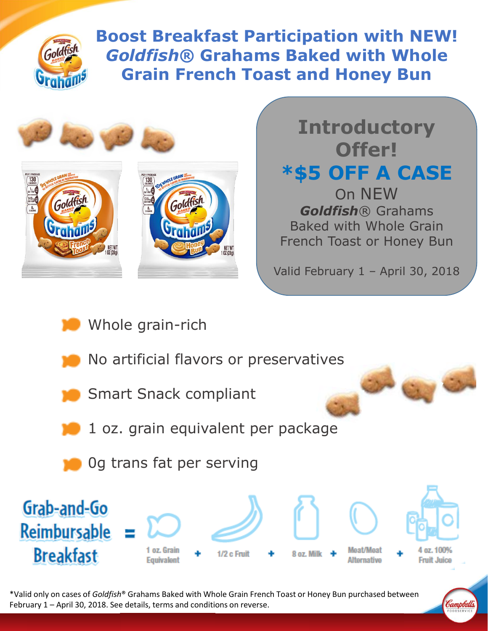

**Boost Breakfast Participation with NEW!**  *Goldfish***® Grahams Baked with Whole Grain French Toast and Honey Bun**



**Introductory Offer! \*\$5 OFF A CASE**  On NEW *Goldfish*® Grahams Baked with Whole Grain French Toast or Honey Bun

Valid February 1 – April 30, 2018

- Whole grain-rich
- No artificial flavors or preservatives
- Smart Snack compliant
- 1 oz. grain equivalent per package
- 0g trans fat per serving



\*Valid only on cases of *Goldfish*® Grahams Baked with Whole Grain French Toast or Honey Bun purchased between February 1 – April 30, 2018. See details, terms and conditions on reverse.